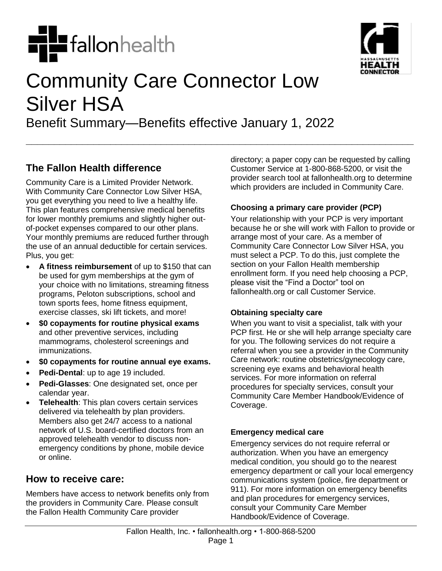



# Community Care Connector Low Silver HSA

Benefit Summary—Benefits effective January 1, 2022

**\_\_\_\_\_\_\_\_\_\_\_\_\_\_\_\_\_\_\_\_\_\_\_\_\_\_\_\_\_\_\_\_\_\_\_\_\_\_\_\_\_\_\_\_\_\_\_\_\_\_\_\_\_\_\_\_\_\_\_\_\_\_\_\_\_\_\_\_\_**

## **The Fallon Health difference**

Community Care is a Limited Provider Network. With Community Care Connector Low Silver HSA, you get everything you need to live a healthy life. This plan features comprehensive medical benefits for lower monthly premiums and slightly higher outof-pocket expenses compared to our other plans. Your monthly premiums are reduced further through the use of an annual deductible for certain services. Plus, you get:

- **A fitness reimbursement** of up to \$150 that can be used for gym memberships at the gym of your choice with no limitations, streaming fitness programs, Peloton subscriptions, school and town sports fees, home fitness equipment, exercise classes, ski lift tickets, and more!
- **\$0 copayments for routine physical exams** and other preventive services, including mammograms, cholesterol screenings and immunizations.
- **\$0 copayments for routine annual eye exams.**
- **Pedi-Dental**: up to age 19 included.
- **Pedi-Glasses**: One designated set, once per calendar year.
- **Telehealth**: This plan covers certain services delivered via telehealth by plan providers. Members also get 24/7 access to a national network of U.S. board-certified doctors from an approved telehealth vendor to discuss nonemergency conditions by phone, mobile device or online.

## **How to receive care:**

Members have access to network benefits only from the providers in Community Care. Please consult the Fallon Health Community Care provider

directory; a paper copy can be requested by calling Customer Service at 1-800-868-5200, or visit the provider search tool at fallonhealth.org to determine which providers are included in Community Care.

#### **Choosing a primary care provider (PCP)**

Your relationship with your PCP is very important because he or she will work with Fallon to provide or arrange most of your care. As a member of Community Care Connector Low Silver HSA, you must select a PCP. To do this, just complete the section on your Fallon Health membership enrollment form. If you need help choosing a PCP, please visit the "Find a Doctor" tool on fallonhealth.org or call Customer Service.

#### **Obtaining specialty care**

When you want to visit a specialist, talk with your PCP first. He or she will help arrange specialty care for you. The following services do not require a referral when you see a provider in the Community Care network: routine obstetrics/gynecology care, screening eye exams and behavioral health services. For more information on referral procedures for specialty services, consult your Community Care Member Handbook/Evidence of Coverage.

#### **Emergency medical care**

Emergency services do not require referral or authorization. When you have an emergency medical condition, you should go to the nearest emergency department or call your local emergency communications system (police, fire department or 911). For more information on emergency benefits and plan procedures for emergency services, consult your Community Care Member Handbook/Evidence of Coverage.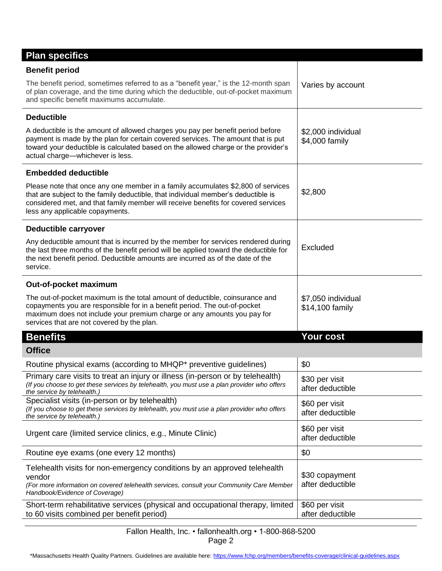| <b>Plan specifics</b>                                                                                                                                                                                                                                                                         |                                       |
|-----------------------------------------------------------------------------------------------------------------------------------------------------------------------------------------------------------------------------------------------------------------------------------------------|---------------------------------------|
| <b>Benefit period</b>                                                                                                                                                                                                                                                                         |                                       |
| The benefit period, sometimes referred to as a "benefit year," is the 12-month span<br>of plan coverage, and the time during which the deductible, out-of-pocket maximum<br>and specific benefit maximums accumulate.                                                                         | Varies by account                     |
| <b>Deductible</b>                                                                                                                                                                                                                                                                             |                                       |
| A deductible is the amount of allowed charges you pay per benefit period before<br>payment is made by the plan for certain covered services. The amount that is put<br>toward your deductible is calculated based on the allowed charge or the provider's<br>actual charge-whichever is less. | \$2,000 individual<br>\$4,000 family  |
| <b>Embedded deductible</b>                                                                                                                                                                                                                                                                    |                                       |
| Please note that once any one member in a family accumulates \$2,800 of services<br>that are subject to the family deductible, that individual member's deductible is<br>considered met, and that family member will receive benefits for covered services<br>less any applicable copayments. | \$2,800                               |
| Deductible carryover                                                                                                                                                                                                                                                                          |                                       |
| Any deductible amount that is incurred by the member for services rendered during<br>the last three months of the benefit period will be applied toward the deductible for<br>the next benefit period. Deductible amounts are incurred as of the date of the<br>service.                      | Excluded                              |
| Out-of-pocket maximum                                                                                                                                                                                                                                                                         |                                       |
| The out-of-pocket maximum is the total amount of deductible, coinsurance and<br>copayments you are responsible for in a benefit period. The out-of-pocket<br>maximum does not include your premium charge or any amounts you pay for<br>services that are not covered by the plan.            | \$7,050 individual<br>\$14,100 family |
| <b>Benefits</b>                                                                                                                                                                                                                                                                               | <b>Your cost</b>                      |
| <b>Office</b>                                                                                                                                                                                                                                                                                 |                                       |
| Routine physical exams (according to MHQP* preventive guidelines)                                                                                                                                                                                                                             | \$0                                   |
| Primary care visits to treat an injury or illness (in-person or by telehealth)<br>(If you choose to get these services by telehealth, you must use a plan provider who offers<br>the service by telehealth.                                                                                   | \$30 per visit<br>after deductible    |
| Specialist visits (in-person or by telehealth)<br>(If you choose to get these services by telehealth, you must use a plan provider who offers<br>the service by telehealth.)                                                                                                                  | \$60 per visit<br>after deductible    |
| Urgent care (limited service clinics, e.g., Minute Clinic)                                                                                                                                                                                                                                    | \$60 per visit<br>after deductible    |
| Routine eye exams (one every 12 months)                                                                                                                                                                                                                                                       | \$0                                   |
| Telehealth visits for non-emergency conditions by an approved telehealth<br>vendor<br>(For more information on covered telehealth services, consult your Community Care Member<br>Handbook/Evidence of Coverage)                                                                              | \$30 copayment<br>after deductible    |
| Short-term rehabilitative services (physical and occupational therapy, limited<br>to 60 visits combined per benefit period)                                                                                                                                                                   | \$60 per visit<br>after deductible    |

Fallon Health, Inc. • fallonhealth.org • 1-800-868-5200 Page 2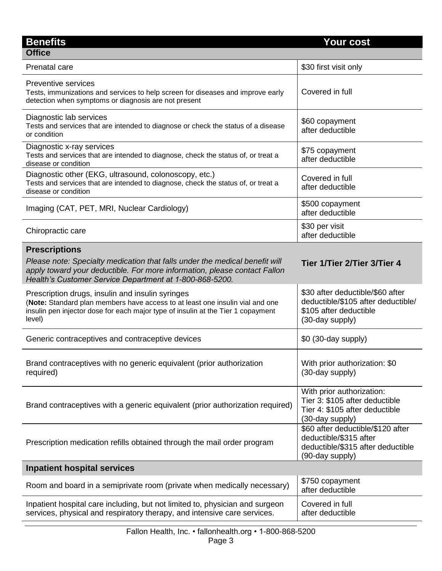| <b>Benefits</b>                                                                                                                                                                                                                             | <b>Your cost</b>                                                                                                    |
|---------------------------------------------------------------------------------------------------------------------------------------------------------------------------------------------------------------------------------------------|---------------------------------------------------------------------------------------------------------------------|
| <b>Office</b>                                                                                                                                                                                                                               |                                                                                                                     |
| Prenatal care                                                                                                                                                                                                                               | \$30 first visit only                                                                                               |
| Preventive services<br>Tests, immunizations and services to help screen for diseases and improve early<br>detection when symptoms or diagnosis are not present                                                                              | Covered in full                                                                                                     |
| Diagnostic lab services<br>Tests and services that are intended to diagnose or check the status of a disease<br>or condition                                                                                                                | \$60 copayment<br>after deductible                                                                                  |
| Diagnostic x-ray services<br>Tests and services that are intended to diagnose, check the status of, or treat a<br>disease or condition                                                                                                      | \$75 copayment<br>after deductible                                                                                  |
| Diagnostic other (EKG, ultrasound, colonoscopy, etc.)<br>Tests and services that are intended to diagnose, check the status of, or treat a<br>disease or condition                                                                          | Covered in full<br>after deductible                                                                                 |
| Imaging (CAT, PET, MRI, Nuclear Cardiology)                                                                                                                                                                                                 | \$500 copayment<br>after deductible                                                                                 |
| Chiropractic care                                                                                                                                                                                                                           | \$30 per visit<br>after deductible                                                                                  |
| <b>Prescriptions</b><br>Please note: Specialty medication that falls under the medical benefit will<br>apply toward your deductible. For more information, please contact Fallon<br>Health's Customer Service Department at 1-800-868-5200. | Tier 1/Tier 2/Tier 3/Tier 4                                                                                         |
| Prescription drugs, insulin and insulin syringes<br>(Note: Standard plan members have access to at least one insulin vial and one<br>insulin pen injector dose for each major type of insulin at the Tier 1 copayment<br>level)             | \$30 after deductible/\$60 after<br>deductible/\$105 after deductible/<br>\$105 after deductible<br>(30-day supply) |
| Generic contraceptives and contraceptive devices                                                                                                                                                                                            | \$0 (30-day supply)                                                                                                 |
| Brand contraceptives with no generic equivalent (prior authorization<br>required)                                                                                                                                                           | With prior authorization: \$0<br>(30-day supply)                                                                    |
| Brand contraceptives with a generic equivalent (prior authorization required)                                                                                                                                                               | With prior authorization:<br>Tier 3: \$105 after deductible<br>Tier 4: \$105 after deductible<br>(30-day supply)    |
| Prescription medication refills obtained through the mail order program                                                                                                                                                                     | \$60 after deductible/\$120 after<br>deductible/\$315 after<br>deductible/\$315 after deductible<br>(90-day supply) |
| <b>Inpatient hospital services</b>                                                                                                                                                                                                          |                                                                                                                     |
| Room and board in a semiprivate room (private when medically necessary)                                                                                                                                                                     | \$750 copayment<br>after deductible                                                                                 |
| Inpatient hospital care including, but not limited to, physician and surgeon<br>services, physical and respiratory therapy, and intensive care services.                                                                                    | Covered in full<br>after deductible                                                                                 |
|                                                                                                                                                                                                                                             |                                                                                                                     |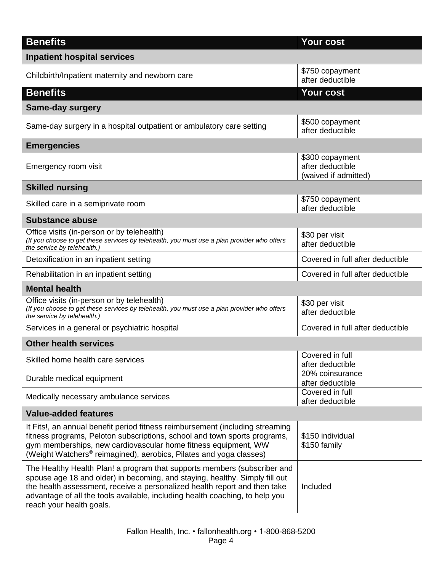| <b>Benefits</b>                                                                                                                                                                                                                                                                                                                                  | <b>Your cost</b>                                            |
|--------------------------------------------------------------------------------------------------------------------------------------------------------------------------------------------------------------------------------------------------------------------------------------------------------------------------------------------------|-------------------------------------------------------------|
| <b>Inpatient hospital services</b>                                                                                                                                                                                                                                                                                                               |                                                             |
| Childbirth/Inpatient maternity and newborn care                                                                                                                                                                                                                                                                                                  | \$750 copayment<br>after deductible                         |
| <b>Benefits</b>                                                                                                                                                                                                                                                                                                                                  | <b>Your cost</b>                                            |
| <b>Same-day surgery</b>                                                                                                                                                                                                                                                                                                                          |                                                             |
| Same-day surgery in a hospital outpatient or ambulatory care setting                                                                                                                                                                                                                                                                             | \$500 copayment<br>after deductible                         |
| <b>Emergencies</b>                                                                                                                                                                                                                                                                                                                               |                                                             |
| Emergency room visit                                                                                                                                                                                                                                                                                                                             | \$300 copayment<br>after deductible<br>(waived if admitted) |
| <b>Skilled nursing</b>                                                                                                                                                                                                                                                                                                                           |                                                             |
| Skilled care in a semiprivate room                                                                                                                                                                                                                                                                                                               | \$750 copayment<br>after deductible                         |
| <b>Substance abuse</b>                                                                                                                                                                                                                                                                                                                           |                                                             |
| Office visits (in-person or by telehealth)<br>(If you choose to get these services by telehealth, you must use a plan provider who offers<br>the service by telehealth.)                                                                                                                                                                         | \$30 per visit<br>after deductible                          |
| Detoxification in an inpatient setting                                                                                                                                                                                                                                                                                                           | Covered in full after deductible                            |
| Rehabilitation in an inpatient setting                                                                                                                                                                                                                                                                                                           | Covered in full after deductible                            |
| <b>Mental health</b>                                                                                                                                                                                                                                                                                                                             |                                                             |
| Office visits (in-person or by telehealth)<br>(If you choose to get these services by telehealth, you must use a plan provider who offers<br>the service by telehealth.)                                                                                                                                                                         | \$30 per visit<br>after deductible                          |
| Services in a general or psychiatric hospital                                                                                                                                                                                                                                                                                                    | Covered in full after deductible                            |
| <b>Other health services</b>                                                                                                                                                                                                                                                                                                                     |                                                             |
| Skilled home health care services                                                                                                                                                                                                                                                                                                                | Covered in full<br>after deductible                         |
| Durable medical equipment                                                                                                                                                                                                                                                                                                                        | 20% coinsurance<br>after deductible                         |
| Medically necessary ambulance services                                                                                                                                                                                                                                                                                                           | Covered in full<br>after deductible                         |
| <b>Value-added features</b>                                                                                                                                                                                                                                                                                                                      |                                                             |
| It Fits!, an annual benefit period fitness reimbursement (including streaming<br>fitness programs, Peloton subscriptions, school and town sports programs,<br>gym memberships, new cardiovascular home fitness equipment, WW<br>(Weight Watchers <sup>®</sup> reimagined), aerobics, Pilates and yoga classes)                                   | \$150 individual<br>\$150 family                            |
| The Healthy Health Plan! a program that supports members (subscriber and<br>spouse age 18 and older) in becoming, and staying, healthy. Simply fill out<br>the health assessment, receive a personalized health report and then take<br>advantage of all the tools available, including health coaching, to help you<br>reach your health goals. | Included                                                    |